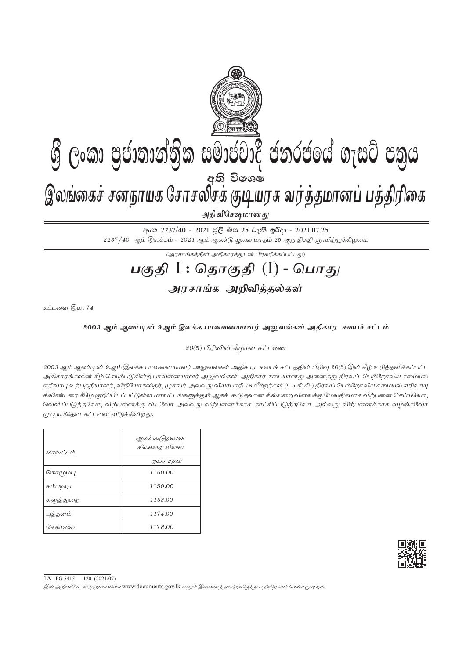

 $2237/40$  ஆம் இலக்கம் -  $2021$  ஆம் ஆண்டு யூலை மாதம்  $25$  ஆந் திகதி ஞாயிற்றுக்கிழமை

 $\overline{(\mathcal{A}^{\eta}\mathcal{A}^{\eta}\mathcal{A}^{\eta}\mathcal{A}^{\eta})}$ 

## **gFjp** I : **njhFjp** (I) - **nghJ**

அரசாங்க அறிவித்தல்கள்

கட்டளை இல.  $74$ 

## 2003 ஆம் ஆண்டின் 9ஆம் இலக்க பாவனையாளர் அலுவல்கள் அதிகார சபைச் சட்டம்

 $20(5)$  பிரிவின் கீழான கட்டளை

2003 ஆம் ஆண்டின் 9ஆம் இலக்க பாவனையாளர் அலுவல்கள் அதிகார சபைச் சட்டத்தின் பிரிவு 20(5) இன் கீழ் உரித்தளிக்கப்பட்ட அதிகாரங்களின் கீழ் செயற்படுகின்ற பாவனையாளர் அலுவல்கள் அதிகார சபையானது அனைத்து திரவப் பெற்றோலிய சமையல் எரிவாயு உற்பத்தியாளர், விநியோகஸ்தர், முகவர் அல்லது வியாபாரி 18 லீற்றர்கள் (9.6 கி.கி.) திரவப் பெற்றோலிய சமையல் எரிவாயு சிலிண்டரை கீழே குறிப்பிடப்பட்டுள்ள மாவட்டங்களுக்குள் ஆகக் கூடுதலான சில்லறை விலைக்கு மேலதிகமாக விற்பனை செய்யவோ வெளிப்படுத்தவோ, விற்பனைக்கு விடவோ அல்லது விற்பனைக்காக காட்சிப்படுத்தவோ அல்லது விற்பனைக்காக வழங்கவோ முடியாதென கட்டளை விடுக்கின்றது.



1A - PG 5415 — 120 (2021/07)

இவ் அதிவிசேட வர்த்தமானியை www.documents.gov.lk எனும் இணையத்தனத்திலிருந்து பதிவிறக்கம் செய்ய முடியும்.